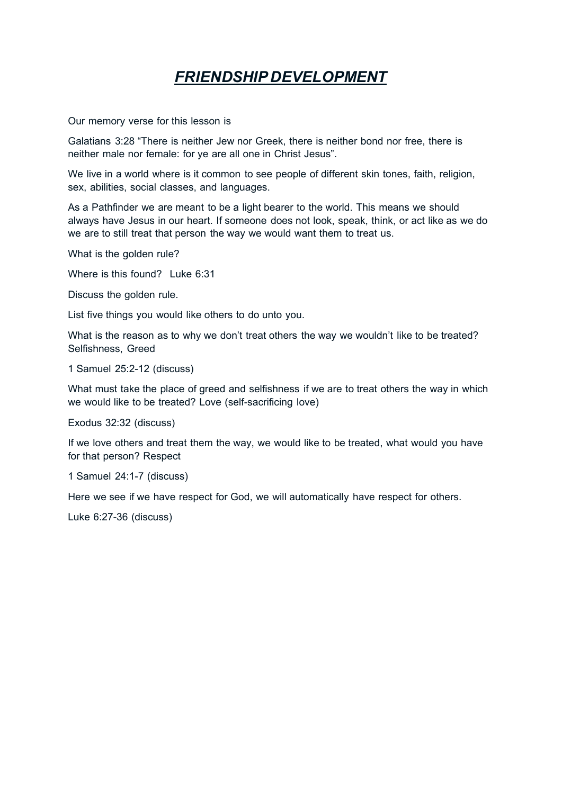## *FRIENDSHIP DEVELOPMENT*

Our memory verse for this lesson is

Galatians 3:28 "There is neither Jew nor Greek, there is neither bond nor free, there is neither male nor female: for ye are all one in Christ Jesus".

We live in a world where is it common to see people of different skin tones, faith, religion, sex, abilities, social classes, and languages.

As a Pathfinder we are meant to be a light bearer to the world. This means we should always have Jesus in our heart. If someone does not look, speak, think, or act like as we do we are to still treat that person the way we would want them to treat us.

What is the golden rule?

Where is this found? Luke 6:31

Discuss the golden rule.

List five things you would like others to do unto you.

What is the reason as to why we don't treat others the way we wouldn't like to be treated? Selfishness, Greed

1 Samuel 25:2-12 (discuss)

What must take the place of greed and selfishness if we are to treat others the way in which we would like to be treated? Love (self-sacrificing love)

Exodus 32:32 (discuss)

If we love others and treat them the way, we would like to be treated, what would you have for that person? Respect

1 Samuel 24:1-7 (discuss)

Here we see if we have respect for God, we will automatically have respect for others.

Luke 6:27-36 (discuss)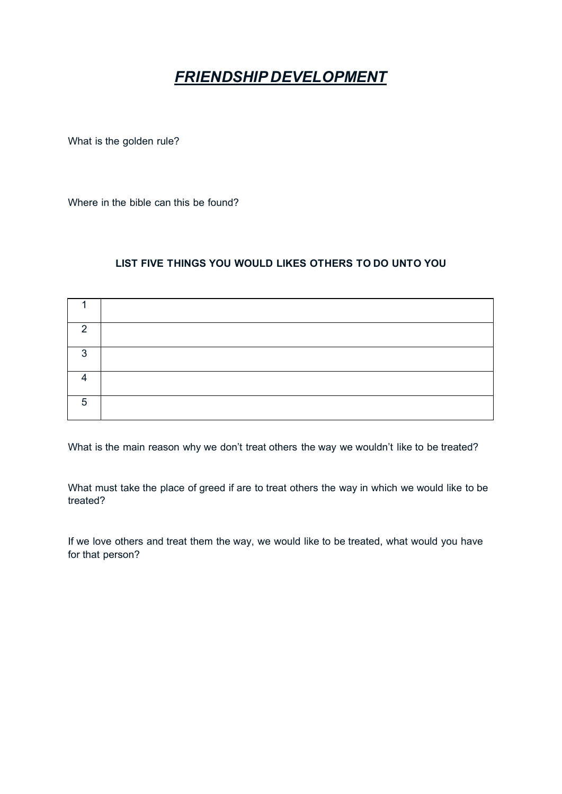## *FRIENDSHIP DEVELOPMENT*

What is the golden rule?

Where in the bible can this be found?

## **LIST FIVE THINGS YOU WOULD LIKES OTHERS TO DO UNTO YOU**

| റ |  |
|---|--|
| ◠ |  |
|   |  |
| 5 |  |

What is the main reason why we don't treat others the way we wouldn't like to be treated?

What must take the place of greed if are to treat others the way in which we would like to be treated?

If we love others and treat them the way, we would like to be treated, what would you have for that person?